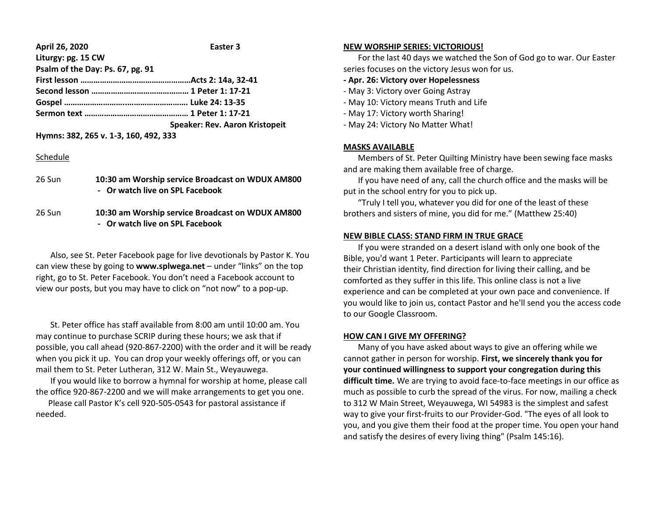#### **April 26, 2020 Easter 3 Liturgy: pg. 15 CW**

| Psalm of the Day: Ps. 67, pg. 91 |                                       |
|----------------------------------|---------------------------------------|
|                                  |                                       |
|                                  |                                       |
|                                  |                                       |
|                                  |                                       |
|                                  | <b>Speaker: Rev. Aaron Kristopeit</b> |

**Hymns: 382, 265 v. 1-3, 160, 492, 333**

### Schedule

| 26 Sun | 10:30 am Worship service Broadcast on WDUX AM800<br>- Or watch live on SPL Facebook |
|--------|-------------------------------------------------------------------------------------|
| 26 Sun | 10:30 am Worship service Broadcast on WDUX AM800                                    |

**- Or watch live on SPL Facebook**

 Also, see St. Peter Facebook page for live devotionals by Pastor K. You can view these by going to **www.splwega.net** – under "links" on the top right, go to St. Peter Facebook. You don't need a Facebook account to view our posts, but you may have to click on "not now" to a pop-up.

 St. Peter office has staff available from 8:00 am until 10:00 am. You may continue to purchase SCRIP during these hours; we ask that if possible, you call ahead (920-867-2200) with the order and it will be ready when you pick it up. You can drop your weekly offerings off, or you can mail them to St. Peter Lutheran, 312 W. Main St., Weyauwega.

 If you would like to borrow a hymnal for worship at home, please call the office 920-867-2200 and we will make arrangements to get you one.

 Please call Pastor K's cell 920-505-0543 for pastoral assistance if needed.

#### **NEW WORSHIP SERIES: VICTORIOUS!**

 For the last 40 days we watched the Son of God go to war. Our Easter series focuses on the victory Jesus won for us.

# **- Apr. 26: Victory over Hopelessness**

- May 3: Victory over Going Astray
- May 10: Victory means Truth and Life
- May 17: Victory worth Sharing!
- May 24: Victory No Matter What!

# **MASKS AVAILABLE**

 Members of St. Peter Quilting Ministry have been sewing face masks and are making them available free of charge.

 If you have need of any, call the church office and the masks will be put in the school entry for you to pick up.

 "Truly I tell you, whatever you did for one of the least of these brothers and sisters of mine, you did for me." (Matthew 25:40)

### **NEW BIBLE CLASS: STAND FIRM IN TRUE GRACE**

 If you were stranded on a desert island with only one book of the Bible, you'd want 1 Peter. Participants will learn to appreciate their Christian identity, find direction for living their calling, and be comforted as they suffer in this life. This online class is not a live experience and can be completed at your own pace and convenience. If you would like to join us, contact Pastor and he'll send you the access code to our Google Classroom.

# **HOW CAN I GIVE MY OFFERING?**

 Many of you have asked about ways to give an offering while we cannot gather in person for worship. **First, we sincerely thank you for your continued willingness to support your congregation during this difficult time.** We are trying to avoid face-to-face meetings in our office as much as possible to curb the spread of the virus. For now, mailing a check to 312 W Main Street, Weyauwega, WI 54983 is the simplest and safest way to give your first-fruits to our Provider-God. "The eyes of all look to you, and you give them their food at the proper time. You open your hand and satisfy the desires of every living thing" (Psalm 145:16).